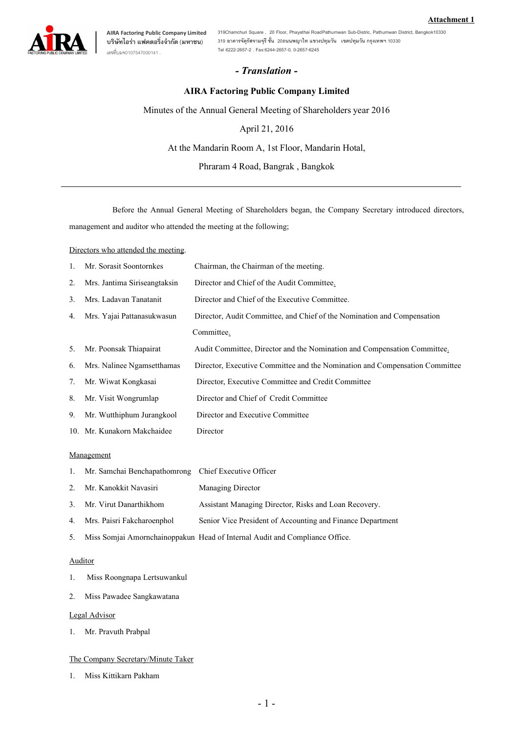

**บริษัทไอรา แฟคตอริ่งจํากัด (มหาชน)** เลขที่บมจ0107547000141 .

**AIRA Factoring Public Company Limited 319Chamchuri Square , 20 Floor, Phayathai RoadPathumwan Sub-Distric, Pathumwan District, Bangkok10330 319 อาคารจัตุรัสจามจุรี ชั้น 20ถนนพญาไท แขวงปทุมวัน เขตปทุมวัน กรุงเทพฯ 10330 Tel 6222-2657-2 . Fax:6244-2657 -0, 0-2657-6245**

## *- Translation -*

## **AIRA Factoring Public Company Limited**

Minutes of the Annual General Meeting of Shareholders year 2016

April21, 2016

At the Mandarin Room A, 1st Floor, Mandarin Hotal,

Phraram 4 Road, Bangrak , Bangkok

Before the Annual General Meeting of Shareholders began, the Company Secretary introduced directors, management and auditor who attended the meeting at the following;

Directors who attended the meeting.

| 1. | Mr. Sorasit Soontornkes      | Chairman, the Chairman of the meeting.                                      |
|----|------------------------------|-----------------------------------------------------------------------------|
| 2. | Mrs. Jantima Siriseangtaksin | Director and Chief of the Audit Committee.                                  |
| 3. | Mrs. Ladavan Tanatanit       | Director and Chief of the Executive Committee.                              |
| 4. | Mrs. Yajai Pattanasukwasun   | Director, Audit Committee, and Chief of the Nomination and Compensation     |
|    |                              | Committee.                                                                  |
| 5. | Mr. Poonsak Thiapairat       | Audit Committee, Director and the Nomination and Compensation Committee.    |
| 6. | Mrs. Nalinee Ngamsetthamas   | Director, Executive Committee and the Nomination and Compensation Committee |
| 7. | Mr. Wiwat Kongkasai          | Director, Executive Committee and Credit Committee                          |
| 8. | Mr. Visit Wongrumlap         | Director and Chief of Credit Committee                                      |
| 9. | Mr. Wutthiphum Jurangkool    | Director and Executive Committee                                            |
|    | 10. Mr. Kunakorn Makchaidee  | Director                                                                    |
|    |                              |                                                                             |

### Management

- 1. Mr. Samchai Benchapathomrong Chief Executive Officer
- 2. Mr. Kanokkit Navasiri Managing Director
- 3. Mr. Virut Danarthikhom Assistant Managing Director, Risks and Loan Recovery.
- 4. Mrs. Paisri Fakcharoenphol Senior Vice President of Accounting and Finance Department
- 5. Miss Somjai Amornchainoppakun Head of Internal Audit and Compliance Office.

## Auditor

- 1. Miss Roongnapa Lertsuwankul
- 2. Miss Pawadee Sangkawatana

### Legal Advisor

1. Mr. Pravuth Prabpal

### The Company Secretary/Minute Taker

1. Miss Kittikarn Pakham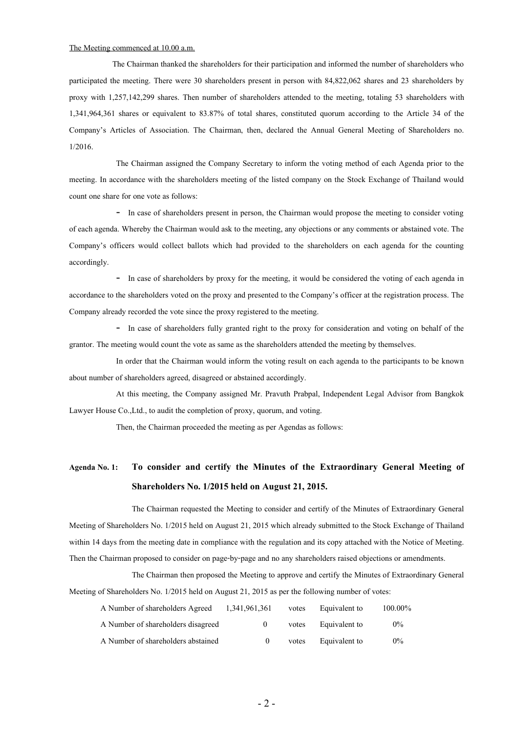#### The Meeting commenced at 10.00 a.m.

The Chairman thanked the shareholders for their participation and informed the number of shareholders who participated the meeting. There were 30 shareholders present in person with 84,822,062 shares and 23 shareholders by proxy with 1,257,142,299 shares. Then number of shareholders attended to the meeting, totaling 53 shareholders with 1,341,964,361 shares or equivalent to 83.87% of total shares, constituted quorum according to the Article 34 of the Company's Articles of Association. The Chairman, then, declared the Annual General Meeting of Shareholders no. 1/2016.

The Chairman assigned the Company Secretary to inform the voting method of each Agenda prior to the meeting. In accordance with the shareholders meeting of the listed company on the Stock Exchange of Thailand would count one share for one vote as follows:

- In case of shareholders present in person, the Chairman would propose the meeting to consider voting of each agenda. Whereby the Chairman would ask to the meeting, any objections or any comments or abstained vote. The Company's officers would collect ballots which had provided to the shareholders on each agenda for the counting accordingly.

- In case of shareholders by proxy for the meeting, it would be considered the voting of each agenda in accordance to the shareholders voted on the proxy and presented to the Company's officer at the registration process. The Company already recorded the vote since the proxy registered to the meeting.

- In case of shareholders fully granted right to the proxy for consideration and voting on behalf of the grantor. The meeting would count the vote as same as the shareholders attended the meeting by themselves.

In order that the Chairman would inform the voting result on each agenda to the participants to be known about number of shareholders agreed, disagreed or abstained accordingly.

At this meeting, the Company assigned Mr. Pravuth Prabpal, Independent Legal Advisor from Bangkok Lawyer House Co.,Ltd., to audit the completion of proxy, quorum, and voting.

Then, the Chairman proceeded the meeting as per Agendas as follows:

# **Agenda No. 1: To consider and certify the Minutes of the Extraordinary General Meeting of Shareholders No. 1/2015 held on August 21, 2015.**

The Chairman requested the Meeting to consider and certify of the Minutes of Extraordinary General Meeting of Shareholders No. 1/2015 held on August 21, 2015 which already submitted to the Stock Exchange of Thailand within 14 days from the meeting date in compliance with the regulation and its copy attached with the Notice of Meeting. Then the Chairman proposed to consider on page-by-page and no any shareholders raised objections or amendments.

The Chairman then proposed the Meeting to approve and certify the Minutes of Extraordinary General Meeting of Shareholders No. 1/2015 held on August 21, 2015 as per the following number of votes:

| A Number of shareholders Agreed    | 1,341,961,361 | votes | Equivalent to | 100.00% |
|------------------------------------|---------------|-------|---------------|---------|
| A Number of shareholders disagreed | $\theta$      | votes | Equivalent to | $0\%$   |
| A Number of shareholders abstained | $\theta$      | votes | Equivalent to | $0\%$   |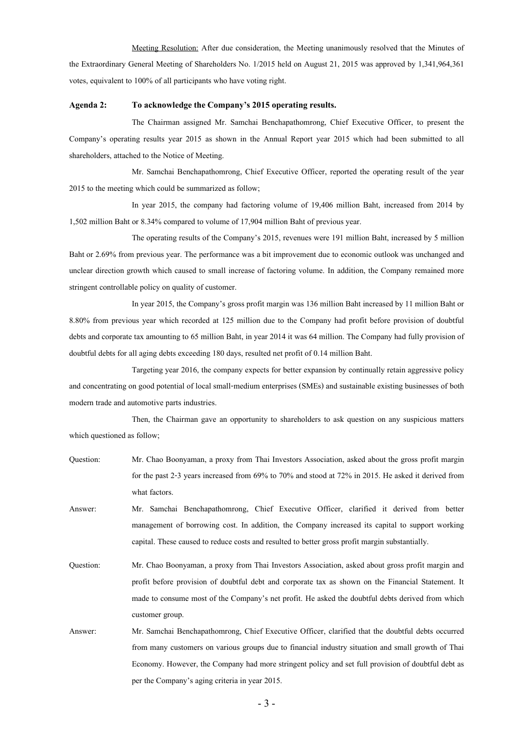Meeting Resolution: After due consideration, the Meeting unanimously resolved that the Minutes of the Extraordinary General Meeting of Shareholders No. 1/2015 held on August 21, 2015 was approved by 1,341,964,361 votes, equivalent to 100% of all participants who have voting right.

### **Agenda 2: To acknowledge the Company's 2015 operating results.**

The Chairman assigned Mr. Samchai Benchapathomrong, Chief Executive Officer, to present the Company's operating results year 2015 as shown in the Annual Report year 2015 which had been submitted to all shareholders, attached to the Notice of Meeting.

Mr. Samchai Benchapathomrong, Chief Executive Officer, reported the operating result of the year 2015 to the meeting which could be summarized as follow;

In year 2015, the company had factoring volume of 19,406 million Baht, increased from 2014 by 1,502 million Baht or 8.34% compared to volume of 17,904 million Baht of previous year.

The operating results of the Company's 2015, revenues were 191 million Baht, increased by 5 million Baht or 2.69% from previous year. The performance was a bit improvement due to economic outlook was unchanged and unclear direction growth which caused to small increase of factoring volume. In addition, the Company remained more stringent controllable policy on quality of customer.

In year 2015, the Company's gross profit margin was 136 million Baht increased by 11 million Baht or 8.80% from previous year which recorded at 125 million due to the Company had profit before provision of doubtful debts and corporate tax amounting to 65 million Baht, in year 2014 it was 64 million. The Company had fully provision of doubtful debts for all aging debts exceeding 180 days, resulted net profit of 0.14 million Baht.

Targeting year 2016, the company expects for better expansion by continually retain aggressive policy and concentrating on good potential of local small-medium enterprises (SMEs) and sustainable existing businesses of both modern trade and automotive parts industries.

Then, the Chairman gave an opportunity to shareholders to ask question on any suspicious matters which questioned as follow;

- Question: Mr. Chao Boonyaman, a proxy from Thai Investors Association, asked about the gross profit margin for the past 2-3 years increased from 69% to 70% and stood at 72% in 2015. He asked it derived from what factors.
- Answer: Mr. Samchai Benchapathomrong, Chief Executive Officer, clarified it derived from better management of borrowing cost. In addition, the Company increased its capital to support working capital. These caused to reduce costs and resulted to better gross profit margin substantially.
- Question: Mr. Chao Boonyaman, a proxy from Thai Investors Association, asked about gross profit margin and profit before provision of doubtful debt and corporate tax as shown on the Financial Statement. It made to consume most of the Company's net profit. He asked the doubtful debts derived from which customer group.
- Answer: Mr. Samchai Benchapathomrong, Chief Executive Officer, clarified that the doubtful debts occurred from many customers on various groups due to financial industry situation and small growth of Thai Economy. However, the Company had more stringent policy and set full provision of doubtful debt as per the Company's aging criteria in year 2015.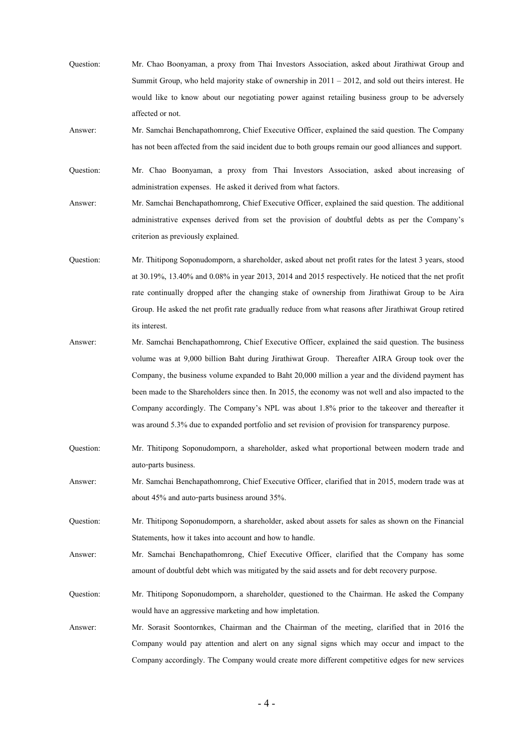Question: Mr. Chao Boonyaman, a proxy from Thai Investors Association, asked about Jirathiwat Group and Summit Group, who held majority stake of ownership in 2011 – 2012, and sold out theirs interest. He would like to know about our negotiating power against retailing business group to be adversely affected or not.

Answer: Mr. Samchai Benchapathomrong, Chief Executive Officer, explained the said question. The Company has not been affected from the said incident due to both groups remain our good alliances and support.

Question: Mr. Chao Boonyaman, a proxy from Thai Investors Association, asked about increasing of administration expenses. He asked it derived from what factors.

Answer: Mr. Samchai Benchapathomrong, Chief Executive Officer, explained the said question. The additional administrative expenses derived from set the provision of doubtful debts as per the Company's criterion as previously explained.

Question: Mr. Thitipong Soponudomporn, a shareholder, asked about net profit rates for the latest 3 years, stood at 30.19%, 13.40% and 0.08% in year 2013, 2014 and 2015 respectively. He noticed that the net profit rate continually dropped after the changing stake of ownership from Jirathiwat Group to be Aira Group. He asked the net profit rate gradually reduce from what reasons after Jirathiwat Group retired its interest.

Answer: Mr. Samchai Benchapathomrong, Chief Executive Officer, explained the said question. The business volume was at 9,000 billion Baht during Jirathiwat Group. Thereafter AIRA Group took over the Company, the business volume expanded to Baht 20,000 million a year and the dividend payment has been made to the Shareholders since then. In 2015, the economy was not well and also impacted to the Company accordingly. The Company's NPL was about 1.8% prior to the takeover and thereafter it was around 5.3% due to expanded portfolio and set revision of provision for transparency purpose.

Question: Mr. Thitipong Soponudomporn, a shareholder, asked what proportional between modern trade and auto-parts business.

Answer: Mr. Samchai Benchapathomrong, Chief Executive Officer, clarified that in 2015, modern trade was at about 45% and auto-parts business around 35%.

Question: Mr. Thitipong Soponudomporn, a shareholder, asked about assets for sales as shown on the Financial Statements, how it takes into account and how to handle.

Answer: Mr. Samchai Benchapathomrong, Chief Executive Officer, clarified that the Company has some amount of doubtful debt which was mitigated by the said assets and for debt recovery purpose.

Question: Mr. Thitipong Soponudomporn, a shareholder, questioned to the Chairman. He asked the Company would have an aggressive marketing and how impletation.

Answer: Mr. Sorasit Soontornkes, Chairman and the Chairman of the meeting, clarified that in 2016 the Company would pay attention and alert on any signal signs which may occur and impact to the Company accordingly. The Company would create more different competitive edges for new services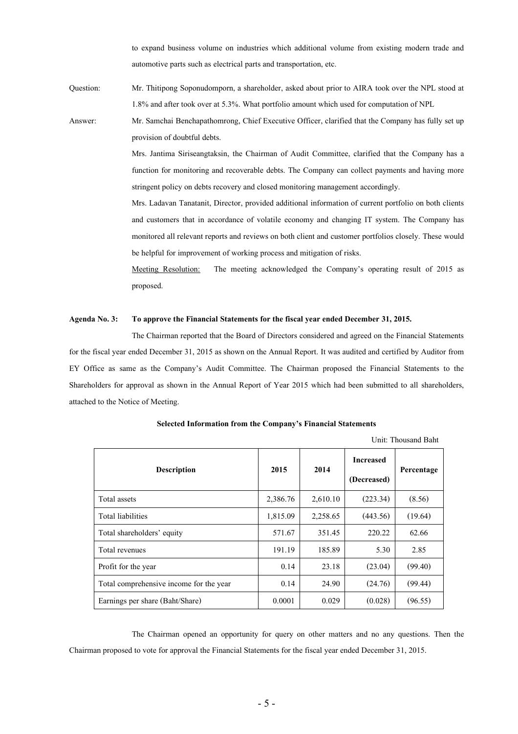to expand business volume on industries which additional volume from existing modern trade and automotive parts such as electrical parts and transportation, etc.

Question: Mr. Thitipong Soponudomporn, a shareholder, asked about prior to AIRA took over the NPL stood at 1.8% and after took over at 5.3%. What portfolio amount which used for computation of NPL

Answer: Mr. Samchai Benchapathomrong, Chief Executive Officer, clarified that the Company has fully set up provision of doubtful debts.

> Mrs. Jantima Siriseangtaksin, the Chairman of Audit Committee, clarified that the Company has a function for monitoring and recoverable debts. The Company can collect payments and having more stringent policy on debts recovery and closed monitoring management accordingly.

> Mrs. Ladavan Tanatanit, Director, provided additional information of current portfolio on both clients and customers that in accordance of volatile economy and changing IT system. The Company has monitored all relevant reports and reviews on both client and customer portfolios closely. These would be helpful for improvement of working process and mitigation of risks.

> Meeting Resolution: The meeting acknowledged the Company's operating result of 2015 as proposed.

### **Agenda No. 3: To approve the Financial Statements for the fiscal year ended December 31, 2015.**

The Chairman reported that the Board of Directors considered and agreed on the Financial Statements for the fiscal year ended December 31, 2015 as shown on the Annual Report. It was audited and certified by Auditor from EY Office as same as the Company's Audit Committee. The Chairman proposed the Financial Statements to the Shareholders for approval as shown in the Annual Report of Year 2015 which had been submitted to all shareholders, attached to the Notice of Meeting.

| Unit: Thousand Baht                     |          |          |                                 |            |
|-----------------------------------------|----------|----------|---------------------------------|------------|
| <b>Description</b>                      | 2015     | 2014     | <b>Increased</b><br>(Decreased) | Percentage |
| Total assets                            | 2,386.76 | 2,610.10 | (223.34)                        | (8.56)     |
| Total liabilities                       | 1,815.09 | 2,258.65 | (443.56)                        | (19.64)    |
| Total shareholders' equity              | 571.67   | 351.45   | 220.22                          | 62.66      |
| Total revenues                          | 191.19   | 185.89   | 5.30                            | 2.85       |
| Profit for the year                     | 0.14     | 23.18    | (23.04)                         | (99.40)    |
| Total comprehensive income for the year | 0.14     | 24.90    | (24.76)                         | (99.44)    |
| Earnings per share (Baht/Share)         | 0.0001   | 0.029    | (0.028)                         | (96.55)    |

**Selected Information from the Company's Financial Statements**

The Chairman opened an opportunity for query on other matters and no any questions. Then the Chairman proposed to vote for approval the Financial Statements for the fiscal year ended December 31, 2015.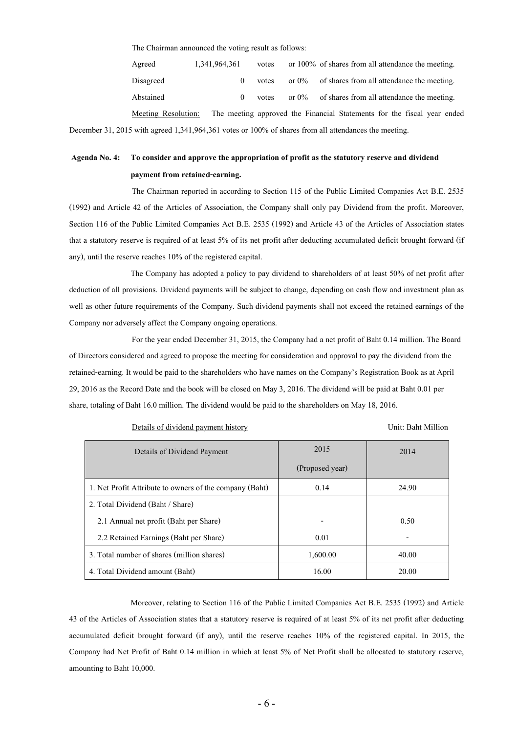The Chairman announced the voting result as follows:

| Agreed    | 1,341,964,361 | votes |          | or 100% of shares from all attendance the meeting. |
|-----------|---------------|-------|----------|----------------------------------------------------|
| Disagreed |               | votes | or $0\%$ | of shares from all attendance the meeting.         |
| Abstained |               | votes | or $0\%$ | of shares from all attendance the meeting.         |
|           |               |       |          |                                                    |

Meeting Resolution: The meeting approved the Financial Statements for the fiscal year ended December 31, 2015 with agreed 1,341,964,361 votes or 100% of shares from all attendances the meeting.

# **Agenda No. 4: To consider and approve the appropriation of profit as the statutory reserve and dividend payment from retained-earning.**

The Chairman reported in according to Section 115 of the Public Limited Companies Act B.E. 2535 (1992) and Article 42 of the Articles of Association, the Company shall only pay Dividend from the profit. Moreover, Section 116 of the Public Limited Companies Act B.E. 2535 (1992) and Article 43 of the Articles of Association states that a statutory reserve is required of at least 5% of its net profit after deducting accumulated deficit brought forward (if any), until the reserve reaches 10% of the registered capital.

The Company has adopted a policy to pay dividend to shareholders of at least 50% of net profit after deduction of all provisions. Dividend payments will be subject to change, depending on cash flow and investment plan as well as other future requirements of the Company. Such dividend payments shall not exceed the retained earnings of the Company nor adversely affect the Company ongoing operations.

For the year ended December 31, 2015, the Company had a net profit of Baht 0.14 million. The Board of Directors considered and agreed to propose the meeting for consideration and approval to pay the dividend from the retained-earning. It would be paid to the shareholders who have names on the Company's Registration Book as at April 29, 2016 as the Record Date and the book will be closed on May 3, 2016. The dividend will be paid at Baht 0.01 per share, totaling of Baht 16.0 million. The dividend would be paid to the shareholders on May 18, 2016.

| Details of dividend payment history |  |  |
|-------------------------------------|--|--|
|                                     |  |  |

#### Unit: Baht Million

| Details of Dividend Payment                             | 2015            | 2014  |
|---------------------------------------------------------|-----------------|-------|
|                                                         | (Proposed year) |       |
| 1. Net Profit Attribute to owners of the company (Baht) | 0.14            | 24.90 |
| 2. Total Dividend (Baht / Share)                        |                 |       |
| 2.1 Annual net profit (Baht per Share)                  |                 | 0.50  |
| 2.2 Retained Earnings (Baht per Share)                  | 0.01            | -     |
| 3. Total number of shares (million shares)              | 1,600.00        | 40.00 |
| 4. Total Dividend amount (Baht)                         | 16.00           | 20.00 |

Moreover, relating to Section 116 of the Public Limited Companies Act B.E. 2535 (1992) and Article 43 of the Articles of Association states that a statutory reserve is required of at least 5% of its net profit after deducting accumulated deficit brought forward (if any), until the reserve reaches 10% of the registered capital. In 2015, the Company had Net Profit of Baht 0.14 million in which at least 5% of Net Profit shall be allocated to statutory reserve, amounting to Baht 10,000.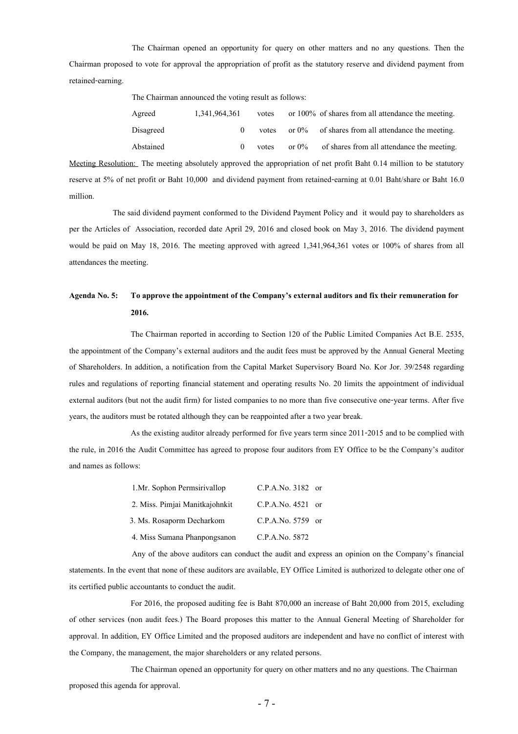The Chairman opened an opportunity for query on other matters and no any questions. Then the Chairman proposed to vote for approval the appropriation of profit as the statutory reserve and dividend payment from retained-earning.

The Chairman announced the voting result as follows:

| Agreed    | 1,341,964,361 | votes |          | or $100\%$ of shares from all attendance the meeting. |
|-----------|---------------|-------|----------|-------------------------------------------------------|
| Disagreed |               | votes |          | or $0\%$ of shares from all attendance the meeting.   |
| Abstained |               | votes | or $0\%$ | of shares from all attendance the meeting.            |

Meeting Resolution: The meeting absolutely approved the appropriation of net profit Baht 0.14 million to be statutory reserve at 5% of net profit or Baht 10,000 and dividend payment from retained-earning at 0.01 Baht/share or Baht 16.0 million.

The said dividend payment conformed to the Dividend Payment Policy and it would pay to shareholders as per the Articles of Association, recorded date April 29, 2016 and closed book on May 3, 2016. The dividend payment would be paid on May 18, 2016. The meeting approved with agreed 1,341,964,361 votes or 100% of shares from all attendances the meeting.

## **Agenda No. 5: To approve the appointment of the Company's external auditors and fix their remuneration for 2016.**

The Chairman reported in according to Section 120 of the Public Limited Companies Act B.E. 2535, the appointment of the Company's external auditors and the audit fees must be approved by the Annual General Meeting of Shareholders. In addition, a notification from the Capital Market Supervisory Board No. Kor Jor. 39/2548 regarding rules and regulations of reporting financial statement and operating results No. 20 limits the appointment of individual external auditors (but not the audit firm) for listed companies to no more than five consecutive one-year terms. After five years, the auditors must be rotated although they can be reappointed after a two year break.

As the existing auditor already performed for five years term since 2011-2015 and to be complied with the rule, in 2016 the Audit Committee has agreed to propose four auditors from EY Office to be the Company's auditor and names as follows:

| 1.Mr. Sophon Permsirivallop    | $C.P.A.No. 3182$ or |
|--------------------------------|---------------------|
| 2. Miss. Pimiai Manitkajohnkit | $C.P.A.No. 4521$ or |
| 3. Ms. Rosaporm Decharkom      | $C.P.A.No. 5759$ or |
| 4. Miss Sumana Phanpongsanon   | C.P.A.No. 5872      |

Any of the above auditors can conduct the audit and express an opinion on the Company's financial statements. In the event that none of these auditors are available, EY Office Limited is authorized to delegate other one of its certified public accountants to conduct the audit.

For 2016, the proposed auditing fee is Baht 870,000 an increase of Baht 20,000 from 2015, excluding of other services (non audit fees.) The Board proposes this matter to the Annual General Meeting of Shareholder for approval. In addition, EY Office Limited and the proposed auditors are independent and have no conflict of interest with the Company, the management, the major shareholders or any related persons.

The Chairman opened an opportunity for query on other matters and no any questions. The Chairman proposed this agenda for approval.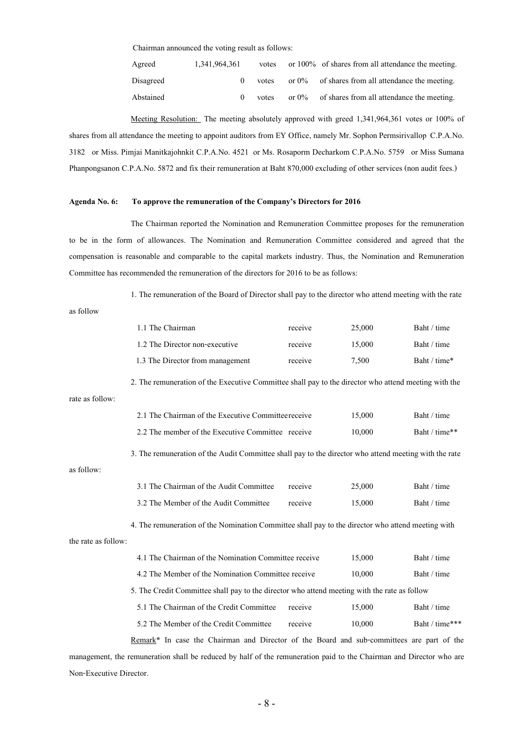Chairman announced the voting result as follows:

| Agreed    | 1,341,964,361 | votes |          | or $100\%$ of shares from all attendance the meeting. |
|-----------|---------------|-------|----------|-------------------------------------------------------|
| Disagreed |               | votes | or $0\%$ | of shares from all attendance the meeting.            |
| Abstained |               | votes | or $0\%$ | of shares from all attendance the meeting.            |

Meeting Resolution: The meeting absolutely approved with greed 1,341,964,361 votes or 100% of shares from all attendance the meeting to appoint auditors from EY Office, namely Mr. Sophon Permsirivallop C.P.A.No. 3182 or Miss. Pimjai Manitkajohnkit C.P.A.No. 4521 or Ms. Rosaporm Decharkom C.P.A.No. 5759 or Miss Sumana Phanpongsanon C.P.A.No. 5872 and fix their remuneration at Baht 870,000 excluding of other services (non audit fees.)

#### **Agenda No. 6: To approve the remuneration of the Company's Directors for 2016**

The Chairman reported the Nomination and Remuneration Committee proposes for the remuneration to be in the form of allowances. The Nomination and Remuneration Committee considered and agreed that the compensation is reasonable and comparable to the capital markets industry. Thus, the Nomination and Remuneration Committee has recommended the remuneration of the directors for 2016 to be as follows:

1. The remuneration of the Board of Director shall pay to the director who attend meeting with the rate

as follow

|                     | 1.1 The Chairman                                                                                            | receive | 25,000 | Baht / time    |  |  |  |
|---------------------|-------------------------------------------------------------------------------------------------------------|---------|--------|----------------|--|--|--|
|                     | 1.2 The Director non-executive                                                                              | receive | 15,000 | Baht / time    |  |  |  |
|                     | 1.3 The Director from management                                                                            | receive | 7,500  | Baht / time*   |  |  |  |
|                     | 2. The remuneration of the Executive Committee shall pay to the director who attend meeting with the        |         |        |                |  |  |  |
| rate as follow:     |                                                                                                             |         |        |                |  |  |  |
|                     | 2.1 The Chairman of the Executive Committee receive                                                         |         | 15,000 | Baht / time    |  |  |  |
|                     | 2.2 The member of the Executive Committee receive                                                           |         | 10,000 | Baht / time**  |  |  |  |
|                     | 3. The remuneration of the Audit Committee shall pay to the director who attend meeting with the rate       |         |        |                |  |  |  |
| as follow:          |                                                                                                             |         |        |                |  |  |  |
|                     | 3.1 The Chairman of the Audit Committee                                                                     | receive | 25,000 | Baht / time    |  |  |  |
|                     | 3.2 The Member of the Audit Committee                                                                       | receive | 15,000 | Baht / time    |  |  |  |
|                     | 4. The remuneration of the Nomination Committee shall pay to the director who attend meeting with           |         |        |                |  |  |  |
| the rate as follow: |                                                                                                             |         |        |                |  |  |  |
|                     | 4.1 The Chairman of the Nomination Committee receive                                                        |         | 15,000 | Baht / time    |  |  |  |
|                     | 4.2 The Member of the Nomination Committee receive                                                          |         | 10,000 | Baht / time    |  |  |  |
|                     | 5. The Credit Committee shall pay to the director who attend meeting with the rate as follow                |         |        |                |  |  |  |
|                     | 5.1 The Chairman of the Credit Committee                                                                    | receive | 15,000 | Baht / time    |  |  |  |
|                     | 5.2 The Member of the Credit Committee                                                                      | receive | 10,000 | Baht / time*** |  |  |  |
|                     | Remark <sup>*</sup> In case the Chairman and Director of the Board and sub-committees are part of the       |         |        |                |  |  |  |
|                     | out the nonunciation shall be noticed by helf of the nonunciation noid to the Choinman and Dinester who are |         |        |                |  |  |  |

management, the remuneration shall be reduced by half of the remuneration paid to the Chairman and Director who are Non-Executive Director.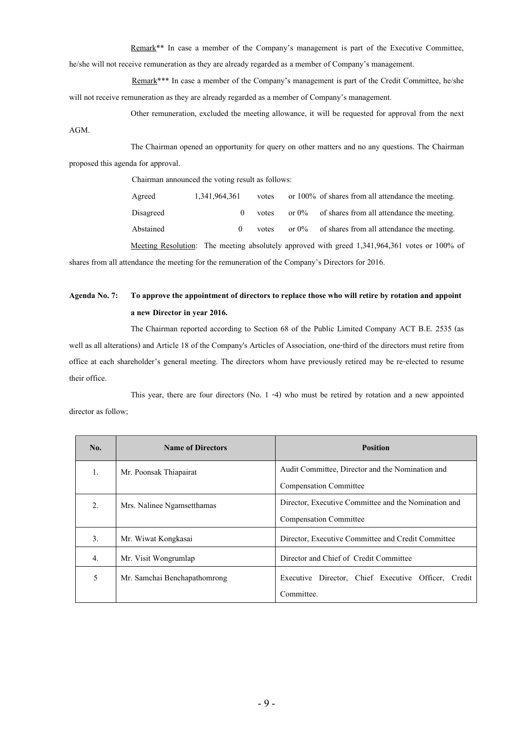Remark\*\* In case a member of the Company's management is part of the Executive Committee, he/she will not receive remuneration as they are already regarded as a member of Company's management.

Remark\*\*\* In case a member of the Company's management is part of the Credit Committee, he/she will not receive remuneration as they are already regarded as a member of Company's management.

Other remuneration, excluded the meeting allowance, it will be requested for approval from the next AGM.

The Chairman opened an opportunity for query on other matters and no any questions. The Chairman proposed this agenda for approval.

Chairman announced the voting result as follows:

Agreed 1,341,964,361 votes or 100% of shares from all attendance the meeting. Disagreed 0 votes or 0% of shares from all attendance the meeting. Abstained 0 votes or 0% of shares from all attendance the meeting.

Meeting Resolution: The meeting absolutely approved with greed 1,341,964,361 votes or 100% of shares from all attendance the meeting for the remuneration of the Company's Directors for 2016.

# **Agenda No. 7: To approve the appointment of directors to replace those who will retire by rotation and appoint a new Director in year 2016.**

The Chairman reported according to Section 68 of the Public Limited Company ACT B.E. 2535 (as well as all alterations) and Article 18 of the Company's Articles of Association, one-third of the directors must retire from office at each shareholder's general meeting. The directors whom have previously retired may be re-elected to resume their office.

This year, there are four directors (No. 1 -4) who must be retired by rotation and a new appointed director as follow;

| No. | <b>Name of Directors</b>     | <b>Position</b>                                           |
|-----|------------------------------|-----------------------------------------------------------|
| 1.  | Mr. Poonsak Thiapairat       | Audit Committee, Director and the Nomination and          |
|     |                              | Compensation Committee                                    |
| 2.  | Mrs. Nalinee Ngamsetthamas   | Director, Executive Committee and the Nomination and      |
|     |                              | <b>Compensation Committee</b>                             |
| 3.  | Mr. Wiwat Kongkasai          | Director, Executive Committee and Credit Committee        |
| 4.  | Mr. Visit Wongrumlap         | Director and Chief of Credit Committee                    |
| 5   | Mr. Samchai Benchapathomrong | Director, Chief Executive Officer,<br>Executive<br>Credit |
|     |                              | Committee.                                                |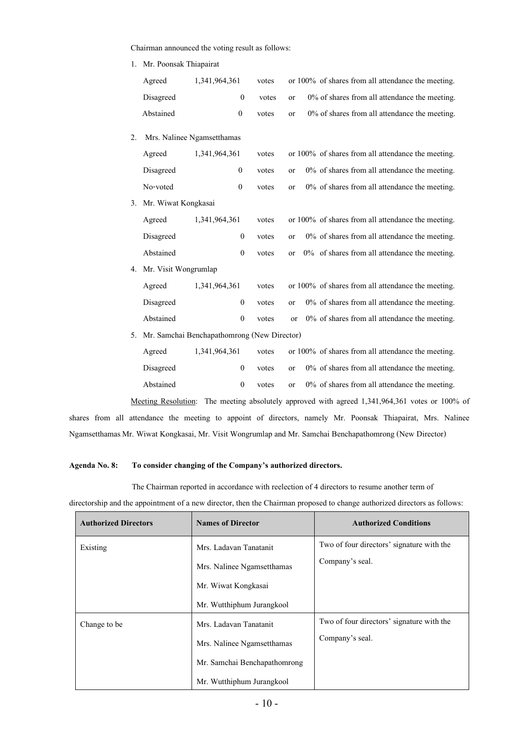Chairman announced the voting result as follows:

| 1. Mr. Poonsak Thiapairat |  |
|---------------------------|--|
|---------------------------|--|

|    | Agreed                                      | 1,341,964,361 |                  | votes |           | or 100% of shares from all attendance the meeting.                                             |
|----|---------------------------------------------|---------------|------------------|-------|-----------|------------------------------------------------------------------------------------------------|
|    | Disagreed                                   |               | $\boldsymbol{0}$ | votes | or        | 0% of shares from all attendance the meeting.                                                  |
|    | Abstained                                   |               | $\boldsymbol{0}$ | votes | <b>or</b> | 0% of shares from all attendance the meeting.                                                  |
| 2. | Mrs. Nalinee Ngamsetthamas                  |               |                  |       |           |                                                                                                |
|    | Agreed                                      | 1,341,964,361 |                  | votes |           | or 100% of shares from all attendance the meeting.                                             |
|    | Disagreed                                   |               | $\boldsymbol{0}$ | votes | or        | 0% of shares from all attendance the meeting.                                                  |
|    | No-voted                                    |               | $\boldsymbol{0}$ | votes | or        | $0\%$ of shares from all attendance the meeting.                                               |
| 3. | Mr. Wiwat Kongkasai                         |               |                  |       |           |                                                                                                |
|    | Agreed                                      | 1,341,964,361 |                  | votes |           | or 100% of shares from all attendance the meeting.                                             |
|    | Disagreed                                   |               | $\boldsymbol{0}$ | votes | or        | 0% of shares from all attendance the meeting.                                                  |
|    | Abstained                                   |               | $\boldsymbol{0}$ | votes | or        | 0% of shares from all attendance the meeting.                                                  |
| 4. | Mr. Visit Wongrumlap                        |               |                  |       |           |                                                                                                |
|    | Agreed                                      | 1,341,964,361 |                  | votes |           | or 100% of shares from all attendance the meeting.                                             |
|    | Disagreed                                   |               | $\boldsymbol{0}$ | votes | or        | $0\%$ of shares from all attendance the meeting.                                               |
|    | Abstained                                   |               | $\boldsymbol{0}$ | votes | or        | 0% of shares from all attendance the meeting.                                                  |
| 5. | Mr. Samchai Benchapathomrong (New Director) |               |                  |       |           |                                                                                                |
|    | Agreed                                      | 1,341,964,361 |                  | votes |           | or 100% of shares from all attendance the meeting.                                             |
|    | Disagreed                                   |               | $\boldsymbol{0}$ | votes | or        | 0% of shares from all attendance the meeting.                                                  |
|    | Abstained                                   |               | $\boldsymbol{0}$ | votes | <b>or</b> | 0% of shares from all attendance the meeting.                                                  |
|    |                                             |               |                  |       |           | Meeting Resolution: The meeting absolutely approved with agreed 1,341,964,361 votes or 100% of |

shares from all attendance the meeting to appoint of directors, namely Mr. Poonsak Thiapairat, Mrs. Nalinee Ngamsetthamas, Mr. Wiwat Kongkasai, Mr. Visit Wongrumlap and Mr. Samchai Benchapathomrong (New Director).

## **Agenda No. 8: To consider changing of the Company's authorized directors.**

The Chairman reported in accordance with reelection of 4 directors to resume another term of

| directorship and the appointment of a new director, then the Chairman proposed to change authorized directors as follows: |  |  |  |  |  |  |
|---------------------------------------------------------------------------------------------------------------------------|--|--|--|--|--|--|
|                                                                                                                           |  |  |  |  |  |  |

| <b>Authorized Directors</b> | <b>Names of Director</b>     | <b>Authorized Conditions</b>              |  |  |
|-----------------------------|------------------------------|-------------------------------------------|--|--|
| Existing                    | Mrs. Ladavan Tanatanit       | Two of four directors' signature with the |  |  |
|                             | Mrs. Nalinee Ngamsetthamas   | Company's seal.                           |  |  |
|                             | Mr. Wiwat Kongkasai          |                                           |  |  |
|                             | Mr. Wutthiphum Jurangkool    |                                           |  |  |
| Change to be                | Mrs. Ladavan Tanatanit       | Two of four directors' signature with the |  |  |
|                             | Mrs. Nalinee Ngamsetthamas   | Company's seal.                           |  |  |
|                             | Mr. Samchai Benchapathomrong |                                           |  |  |
|                             | Mr. Wutthiphum Jurangkool    |                                           |  |  |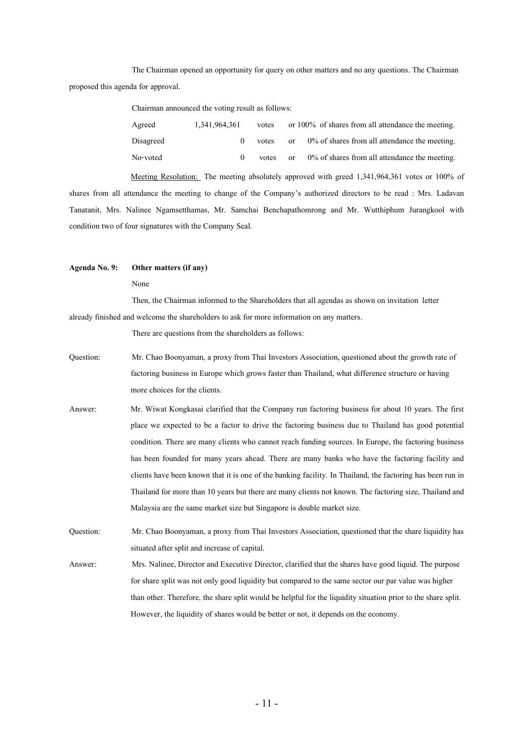The Chairman opened an opportunity for query on other matters and no any questions. The Chairman proposed this agenda for approval.

Chairman announced the voting result as follows:

| Agreed    | 1,341,964,361 | votes |          | or $100\%$ of shares from all attendance the meeting. |
|-----------|---------------|-------|----------|-------------------------------------------------------|
| Disagreed |               | votes | $\alpha$ | $0\%$ of shares from all attendance the meeting.      |
| No-voted  |               | votes | or       | $0\%$ of shares from all attendance the meeting.      |

Meeting Resolution: The meeting absolutely approved with greed 1,341,964,361 votes or 100% of shares from all attendance the meeting to change of the Company's authorized directors to be read : Mrs. Ladavan Tanatanit, Mrs. Nalinee Ngamsetthamas, Mr. Samchai Benchapathomrong and Mr. Wutthiphum Jurangkool with condition two of four signatures with the Company Seal.

#### **Agenda No. 9: Other matters (if any)**

#### None

Then, the Chairman informed to the Shareholders that all agendas as shown on invitation letter already finished and welcome the shareholders to ask for more information on any matters.

There are questions from the shareholders as follows:

- Question: Mr. Chao Boonyaman, a proxy from Thai Investors Association, questioned about the growth rate of factoring business in Europe which grows faster than Thailand, what difference structure or having more choices for the clients.
- Answer: Mr. Wiwat Kongkasai clarified that the Company run factoring business for about 10 years. The first place we expected to be a factor to drive the factoring business due to Thailand has good potential condition. There are many clients who cannot reach funding sources. In Europe, the factoring business has been founded for many years ahead. There are many banks who have the factoring facility and clients have been known that it is one of the banking facility. In Thailand, the factoring has been run in Thailand for more than 10 years but there are many clients not known. The factoring size, Thailand and Malaysia are the same market size but Singapore is double market size.

Question: Mr. Chao Boonyaman, a proxy from Thai Investors Association, questioned that the share liquidityhas situated after split and increase of capital.

Answer: Mrs. Nalinee, Director and Executive Director, clarified that the shares have good liquid. The purpose for share split was not only good liquidity but compared to the same sector our par value was higher than other. Therefore, the share split would be helpful for the liquidity situation prior to the share split. However, the liquidity of shares would be better or not, it depends on the economy.